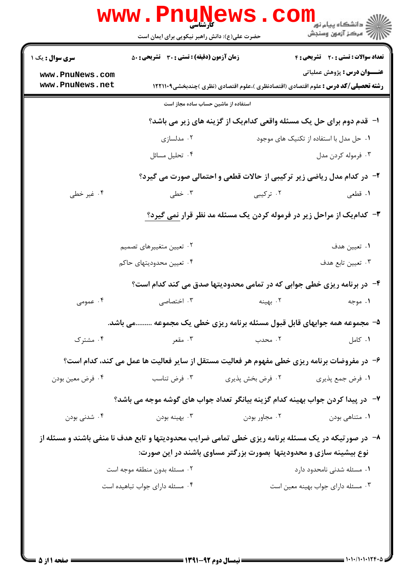|                                                                                                     | <b>WWW . PI</b><br><b>کارشناسی</b><br>حضرت علی(ع): دانش راهبر نیکویی برای ایمان است         |                                                                   | <mark>د</mark> دانشگاه پیام نور<br>ج ' مرڪز آزمون وسنڊش                                                                          |  |  |
|-----------------------------------------------------------------------------------------------------|---------------------------------------------------------------------------------------------|-------------------------------------------------------------------|----------------------------------------------------------------------------------------------------------------------------------|--|--|
| <b>سری سوال :</b> یک ۱                                                                              | <b>زمان آزمون (دقیقه) : تستی : 30 ٪ تشریحی : 50</b>                                         |                                                                   | <b>تعداد سوالات : تستی : 20 تشریحی : 4</b>                                                                                       |  |  |
| www.PnuNews.com<br>www.PnuNews.net                                                                  |                                                                                             |                                                                   | <b>عنـــوان درس :</b> پژوهش عملیاتی<br><b>رشته تحصیلی/کد درس :</b> علوم اقتصادی (اقتصادنظری )،علوم اقتصادی (نظری )چندبخشی1۲۲۱۱۰۹ |  |  |
| استفاده از ماشین حساب ساده مجاز است                                                                 |                                                                                             |                                                                   |                                                                                                                                  |  |  |
|                                                                                                     | ا- قدم دوم برای حل یک مسئله واقعی کدامیک از گزینه های زیر می باشد؟                          |                                                                   |                                                                                                                                  |  |  |
|                                                                                                     | ۰۲ مدلسازی                                                                                  |                                                                   | ۰۱ حل مدل با استفاده از تکنیک های موجود                                                                                          |  |  |
|                                                                                                     | ۰۴ تحليل مسائل                                                                              |                                                                   | ۰۳ فرموله کردن مدل                                                                                                               |  |  |
|                                                                                                     |                                                                                             |                                                                   | ۲- در کدام مدل ریاضی زیر ترکیبی از حالات قطعی و احتمالی صورت می گیرد؟                                                            |  |  |
| ۰۴ غیر خطی                                                                                          | ۰۳ خطی                                                                                      | ۰۲ ترکیبی                                                         | ۰۱ قطعی                                                                                                                          |  |  |
|                                                                                                     | ۳- کدام یک از مراحل زیر در فرموله کردن یک مسئله مد نظر قرار نمی گیرد؟                       |                                                                   |                                                                                                                                  |  |  |
|                                                                                                     | ۰۲ تعیین متغییرهای تصمیم                                                                    |                                                                   | ۰۱ تعیین هدف                                                                                                                     |  |  |
|                                                                                                     | ۰۴ تعيين محدوديتهاى حاكم                                                                    |                                                                   | ۰۳ تعیین تابع هدف                                                                                                                |  |  |
|                                                                                                     |                                                                                             |                                                                   | ۴- در برنامه ریزی خطی جوابی که در تمامی محدودیتها صدق می کند کدام است؟                                                           |  |  |
| ۰۴ عمومی                                                                                            | ۰۳ اختصاصی                                                                                  | ۰۲ بهینه                                                          | ۰۱ موجه                                                                                                                          |  |  |
|                                                                                                     | ۵–  مجموعه همه جوابهای قابل قبول مسئله برنامه ریزی خطی یک مجموعه می باشد.                   |                                                                   |                                                                                                                                  |  |  |
| ۰۴ مشترک                                                                                            | ۰۳ مقعر                                                                                     | . محدب                                                            | ٠١ كامل                                                                                                                          |  |  |
|                                                                                                     | ۶- در مفروضات برنامه ریزی خطی مفهوم هر فعالیت مستقل از سایر فعالیت ها عمل می کند، کدام است؟ |                                                                   |                                                                                                                                  |  |  |
| ۰۴ فرض معين بودن                                                                                    | ۰۳ فرض تناسب                                                                                | ۰۲ فرض بخش پذیری                                                  | ١. فرض جمع پذيري                                                                                                                 |  |  |
| ٧−٪ در پیدا کردن جواب بهینه کدام گزینه بیانگر تعداد جواب های گوشه موجه می باشد؟                     |                                                                                             |                                                                   |                                                                                                                                  |  |  |
| ۰۴ شدنی بودن                                                                                        | بهينه بودن $\cdot^{\mathsf{v}}$                                                             | ۰۲ مجاور بودن                                                     | ۰۱ متناهی بودن                                                                                                                   |  |  |
| ۸− در صورتیکه در یک مسئله برنامه ریزی خطی تمامی ضرایب محدودیتها و تابع هدف نا منفی باشند و مسئله از |                                                                                             |                                                                   |                                                                                                                                  |  |  |
|                                                                                                     |                                                                                             | نوع بیشینه سازی و محدودیتها بصورت بزرگتر مساوی باشند در این صورت: |                                                                                                                                  |  |  |
|                                                                                                     | ۰۲ مسئله بدون منطقه موجه است                                                                |                                                                   | ۰۱ مسئله شدنی نامحدود دارد                                                                                                       |  |  |
|                                                                                                     | ۰۴ مسئله دارای جواب تباهیده است                                                             |                                                                   | ۰۳ مسئله دارای جواب بهینه معین است                                                                                               |  |  |
|                                                                                                     |                                                                                             |                                                                   |                                                                                                                                  |  |  |
|                                                                                                     |                                                                                             |                                                                   |                                                                                                                                  |  |  |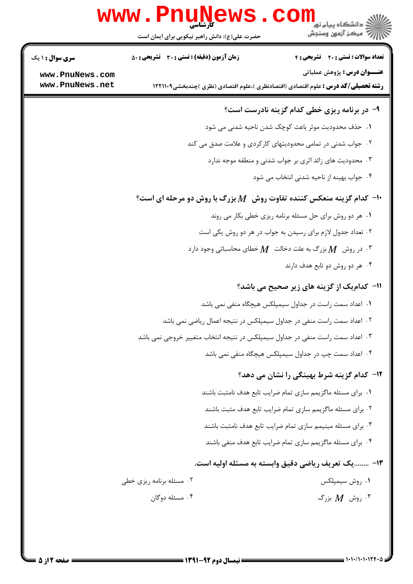|                                    | Www.PnuNews.com                                                                                                                                                                                                 |                                                             |  |
|------------------------------------|-----------------------------------------------------------------------------------------------------------------------------------------------------------------------------------------------------------------|-------------------------------------------------------------|--|
| <b>سری سوال : ۱ یک</b>             | <b>زمان آزمون (دقیقه) : تستی : 30 ٪ تشریحی : 50</b>                                                                                                                                                             | <b>تعداد سوالات : تستی : 20 ٪ تشریحی : 4</b>                |  |
| www.PnuNews.com<br>www.PnuNews.net | <b>رشته تحصیلی/کد درس :</b> علوم اقتصادی (اقتصادنظری )،علوم اقتصادی (نظری )چندبخشی1۲۲۱۱۰۹                                                                                                                       | <b>عنـــوان درس :</b> پژوهش عملیاتی                         |  |
|                                    |                                                                                                                                                                                                                 | ۹- در برنامه ریزی خطی کدام گزینه نادرست است؟                |  |
|                                    |                                                                                                                                                                                                                 | ١. حذف محدودیت موثر باعث کوچک شدن ناحیه شدنی می شود         |  |
|                                    |                                                                                                                                                                                                                 | ۰۲ جواب شدنی در تمامی محدودیتهای کارکردی و علامت صدق می کند |  |
|                                    |                                                                                                                                                                                                                 | ۰۳ محدودیت های زائد اثری بر جواب شدنی و منطقه موجه ندارد    |  |
|                                    |                                                                                                                                                                                                                 | ۰۴ جواب بهینه از ناحیه شدنی انتخاب می شود                   |  |
|                                    | $\cdot$ ا- کدام گزینه منعکس کننده تفاوت روش $M$ بزرگ با روش دو مرحله ای است $\cdot$                                                                                                                             |                                                             |  |
|                                    |                                                                                                                                                                                                                 | ۰۱ هر دو روش برای حل مسئله برنامه ریزی خطی بکار می روند     |  |
|                                    |                                                                                                                                                                                                                 | ۲. تعداد جدول لازم برای رسیدن به جواب در هر دو روش یکی است  |  |
|                                    | ۰۳ در روش $M$ بزرگ به علت دخالت $M$ خطای محاسباتی وجود دارد $\,$                                                                                                                                                |                                                             |  |
|                                    | ۰۴ هر دو روش دو تابع هدف دارند                                                                                                                                                                                  |                                                             |  |
|                                    |                                                                                                                                                                                                                 | 11- كدام یک از گزینه های زیر صحیح می باشد؟                  |  |
|                                    | 1. اعداد سمت راست در جداول سیمپلکس هیچگاه منفی نمی باشد                                                                                                                                                         |                                                             |  |
|                                    | ۲۰ اعداد سمت راست منفی در جداول سیمپلکس در نتیجه اعمال ریاضی نمی باشد<br>۰۳ اعداد سمت راست منفی در جداول سیمپلکس در نتیجه انتخاب متغییر خروجی نمی باشد<br>۰۴ اعداد سمت چپ در جداول سیمپلکس هیچگاه منفی نمی باشد |                                                             |  |
|                                    |                                                                                                                                                                                                                 |                                                             |  |
|                                    |                                                                                                                                                                                                                 |                                                             |  |
|                                    |                                                                                                                                                                                                                 | <b>۱۲</b> - کدام گزینه شرط بهینگی را نشان می دهد؟           |  |
|                                    |                                                                                                                                                                                                                 | ۰۱ برای مسئله ماگزیمم سازی تمام ضرایب تابع هدف نامثبت باشند |  |
|                                    |                                                                                                                                                                                                                 | ۰۲ برای مسئله ماگزیمم سازی تمام ضرایب تابع هدف مثبت باشند   |  |
|                                    | ۰۳ برای مسئله مینیمم سازی تمام ضرایب تابع هدف نامثبت باشند                                                                                                                                                      |                                                             |  |
|                                    | ۰۴ برای مسئله ماگزیمم سازی تمام ضرایب تابع هدف منفی باشند                                                                                                                                                       |                                                             |  |
|                                    |                                                                                                                                                                                                                 | ۱۳- یک تعریف ریاضی دقیق وابسته به مسئله اولیه است.          |  |
|                                    | ۰۲ مسئله برنامه ریزی خطی                                                                                                                                                                                        | ۰۱ روش سیمپلکس                                              |  |
|                                    | ۰۴ مسئله دوگان                                                                                                                                                                                                  | ۰۳ روش $M$ بزرگ $\cdot$                                     |  |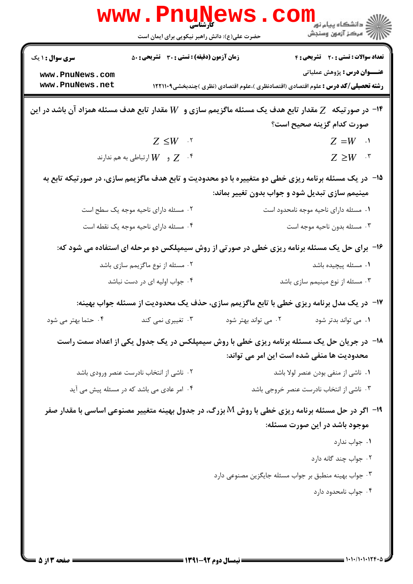| www.PnuNews                                                                                             |                                                     |                                                                                                              |                                                          |  |
|---------------------------------------------------------------------------------------------------------|-----------------------------------------------------|--------------------------------------------------------------------------------------------------------------|----------------------------------------------------------|--|
|                                                                                                         | حضرت علی(ع): دانش راهبر نیکویی برای ایمان است       |                                                                                                              | دانشگاه پيام نور <mark>−  </mark><br> ∭ مرکز آزمون وسنجش |  |
| سری سوال : ۱ یک                                                                                         | <b>زمان آزمون (دقیقه) : تستی : 30 ٪ تشریحی : 50</b> |                                                                                                              | تعداد سوالات : تستی : 20 ۔ تشریحی : 4                    |  |
| www.PnuNews.com                                                                                         |                                                     |                                                                                                              | <b>عنـــوان درس :</b> پژوهش عملیاتی                      |  |
| www.PnuNews.net                                                                                         |                                                     | <b>رشته تحصیلی/کد درس :</b> علوم اقتصادی (اقتصادنظری )،علوم اقتصادی (نظری )چندبخشی1۲۲۱۱۰۹                    |                                                          |  |
| ۱۴- در صورتیکه   Z مقدار تابع هدف یک مسئله ماگزیمم سازی و   W مقدار تابع هدف مسئله همزاد آن باشد در این |                                                     |                                                                                                              |                                                          |  |
|                                                                                                         |                                                     |                                                                                                              | صورت كدام گزينه صحيح است؟                                |  |
|                                                                                                         | $Z \leq W$ .                                        |                                                                                                              | $Z = W \quad \cdot$                                      |  |
|                                                                                                         | و $W$ ارتباطي به هم ندارند $Z$ $\,$ . $^{\circ}$    |                                                                                                              | $Z \geq W$ .                                             |  |
|                                                                                                         |                                                     | <b>۱۵</b> - در یک مسئله برنامه ریزی خطی دو متغییره با دو محدودیت و تابع هدف ماگزیمم سازی، در صورتیکه تابع به |                                                          |  |
|                                                                                                         |                                                     | مینیمم سازی تبدیل شود و جواب بدون تغییر بماند:                                                               |                                                          |  |
|                                                                                                         | ۰۲ مسئله دارای ناحیه موجه یک سطح است                |                                                                                                              | ۰۱ مسئله دارای ناحیه موجه نامحدود است                    |  |
|                                                                                                         | ۰۴ مسئله دارای ناحیه موجه یک نقطه است               |                                                                                                              | ۰۳ مسئله بدون ناحيه موجه است                             |  |
|                                                                                                         |                                                     | ۱۶- برای حل یک مسئله برنامه ریزی خطی در صورتی از روش سیمپلکس دو مرحله ای استفاده می شود که:                  |                                                          |  |
|                                                                                                         | ۰۲ مسئله از نوع ماگزیمم سازی باشد                   |                                                                                                              | ۰۱ مسئله پیچیده باشد                                     |  |
|                                                                                                         | ۰۴ جواب اولیه ای در دست نباشد                       |                                                                                                              | ۰۳ مسئله از نوع مینیمم سازی باشد                         |  |
|                                                                                                         |                                                     | <b>۱۷</b> - در یک مدل برنامه ریزی خطی با تابع ماگزیمم سازی، حذف یک محدودیت از مسئله جواب بهینه:              |                                                          |  |
| ۰۴ حتما بهتر می شود                                                                                     | ۰۳ تغییری نمی کند                                   | ۰۲ می تواند بهتر شود                                                                                         | ۰۱ می تواند بدتر شود                                     |  |
|                                                                                                         |                                                     | ۱۸- در جریان حل یک مسئله برنامه ریزی خطی با روش سیمپلکس در یک جدول یکی از اعداد سمت راست                     |                                                          |  |
|                                                                                                         |                                                     |                                                                                                              | محدودیت ها منفی شده است این امر می تواند:                |  |
|                                                                                                         | ۰۲ ناشی از انتخاب نادرست عنصر ورودی باشد            |                                                                                                              | ۰۱ ناشی از منفی بودن عنصر لولا باشد                      |  |
|                                                                                                         | ۰۴ امر عادی می باشد که در مسئله پیش می آید          |                                                                                                              | ۰۳ ناشی از انتخاب نادرست عنصر خروجی باشد                 |  |
|                                                                                                         |                                                     | <b>۱۹</b> - اگر در حل مسئله برنامه ریزی خطی با روش M بزرگ، در جدول بهینه متغییر مصنوعی اساسی با مقدار صفر    |                                                          |  |
|                                                                                                         |                                                     |                                                                                                              | موجود باشد در این صورت مسئله:                            |  |
|                                                                                                         |                                                     |                                                                                                              | ۰۱ جواب ندارد                                            |  |
|                                                                                                         |                                                     |                                                                                                              | ۰۲ جواب چند گانه دارد                                    |  |
|                                                                                                         |                                                     | ۰۳ جواب بهينه منطبق بر جواب مسئله جايگزين مصنوعي دارد                                                        |                                                          |  |
|                                                                                                         |                                                     |                                                                                                              | ۰۴ جواب نامحدود دارد                                     |  |
|                                                                                                         |                                                     |                                                                                                              |                                                          |  |
|                                                                                                         |                                                     |                                                                                                              |                                                          |  |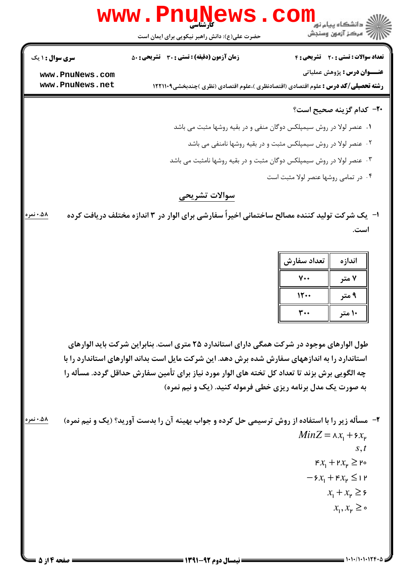

۰۱ عنصر لولا در روش سیمپلکس دوگان منفی و در بقیه روشها مثبت می باشد ۰۲ عنصر لولا در روش سیمپلکس مثبت و در بقیه روشها نامنفی می باشد ۰۳ عنصر لولا در روش سیمپلکس دوگان مثبت و در بقیه روشها نامثبت می باشد ۰۴ در تمامی روشها عنصر لولا مثبت است

## سوالات تشريحي

ا- " یک شرکت تولید کننده مصالح ساختمانی اخیراً سفارشی برای الوار در ۳ اندازه مختلف دریافت کرده ۵۸. نمره است.

| تعداد سفارش | اندازه |
|-------------|--------|
| ۰.          | ۷ متر  |
| 1200        | ۹ متر  |
|             | ۱۰ متر |

طول الوارهای موجود در شرکت همگی دارای استاندارد ۲۵ متری است. بنابراین شرکت باید الوارهای استاندارد را به اندازههای سفارش شده برش دهد. این شرکت مایل است بداند الوارهای استاندارد را با چه الگویی برش بزند تا تعداد کل تخته های الوار مورد نیاز برای تأمین سفارش حداقل گردد. مسأله را به صورت یک مدل برنامه ریزی خطی فرموله کنید. (یک و نیم نمره)

۵۸.۰ نمره ۲- مسأله زیر را با استفاده از روش ترسیمی حل کرده و جواب بهینه آن را بدست آورید؟ (یک و نیم نمره)  $MinZ = \lambda x_1 + \epsilon x_2$  $S, t$  $\kappa x_1 + \kappa x_2 \ge \kappa$  $-\xi x_1 + \xi x_2 \leq 1$  P  $x_1 + x_2 \geq 5$  $x_1, x_{\nu} \geq \infty$